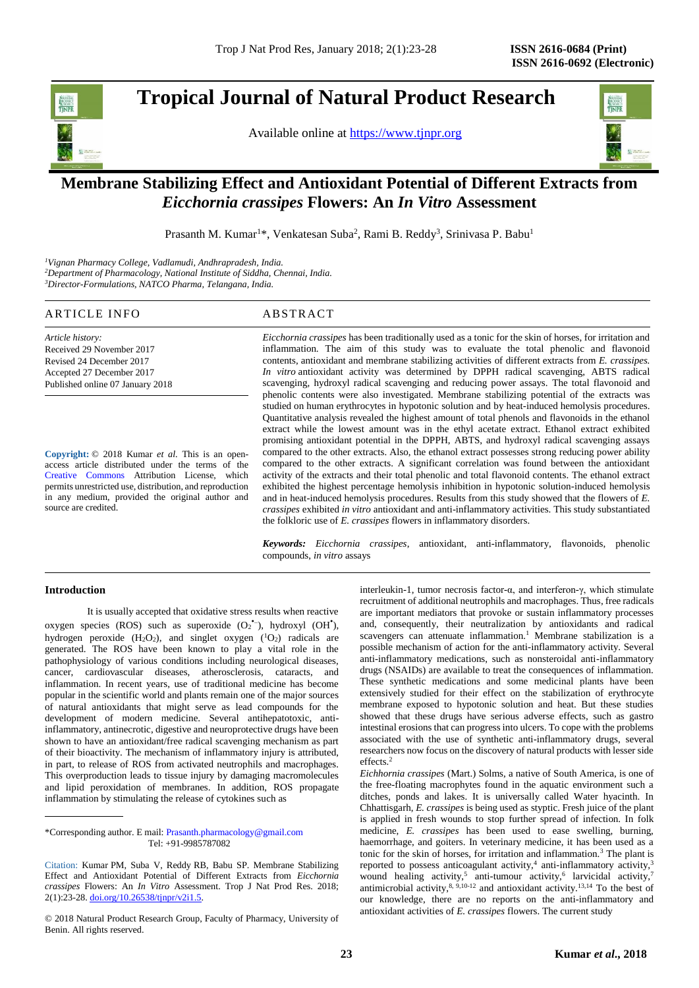# **Tropical Journal of Natural Product Research**

Available online at [https://www.tjnpr.org](https://www.tjnpr.org/)



# . **Membrane Stabilizing Effect and Antioxidant Potential of Different Extracts from**  *Eicchornia crassipes* **Flowers: An** *In Vitro* **Assessment**

Prasanth M. Kumar<sup>1\*</sup>, Venkatesan Suba<sup>2</sup>, Rami B. Reddy<sup>3</sup>, Srinivasa P. Babu<sup>1</sup>

*<sup>1</sup>Vignan Pharmacy College, Vadlamudi, Andhrapradesh, India. <sup>2</sup>Department of Pharmacology, National Institute of Siddha, Chennai, India. <sup>3</sup>Director-Formulations, NATCO Pharma, Telangana, India.*

# ARTICLE INFO ABSTRACT

*Article history:* Received 29 November 2017 Revised 24 December 2017 Accepted 27 December 2017 Published online 07 January 2018

**Copyright:** © 2018 Kumar *et al*. This is an openaccess article distributed under the terms of the [Creative Commons](https://creativecommons.org/licenses/by/4.0/) Attribution License, which permits unrestricted use, distribution, and reproduction in any medium, provided the original author and source are credited.

*Eicchornia crassipes* has been traditionally used as a tonic for the skin of horses, for irritation and inflammation. The aim of this study was to evaluate the total phenolic and flavonoid contents, antioxidant and membrane stabilizing activities of different extracts from *E. crassipes. In vitro* antioxidant activity was determined by DPPH radical scavenging, ABTS radical scavenging, hydroxyl radical scavenging and reducing power assays. The total flavonoid and phenolic contents were also investigated. Membrane stabilizing potential of the extracts was studied on human erythrocytes in hypotonic solution and by heat-induced hemolysis procedures. Quantitative analysis revealed the highest amount of total phenols and flavonoids in the ethanol extract while the lowest amount was in the ethyl acetate extract. Ethanol extract exhibited promising antioxidant potential in the DPPH, ABTS, and hydroxyl radical scavenging assays compared to the other extracts. Also, the ethanol extract possesses strong reducing power ability compared to the other extracts. A significant correlation was found between the antioxidant activity of the extracts and their total phenolic and total flavonoid contents. The ethanol extract exhibited the highest percentage hemolysis inhibition in hypotonic solution-induced hemolysis and in heat-induced hemolysis procedures. Results from this study showed that the flowers of *E. crassipes* exhibited *in vitro* antioxidant and anti-inflammatory activities. This study substantiated the folkloric use of *E. crassipes* flowers in inflammatory disorders.

*Keywords: Eicchornia crassipes*, antioxidant, anti-inflammatory, flavonoids, phenolic compounds, *in vitro* assays

### **Introduction**

It is usually accepted that oxidative stress results when reactive oxygen species (ROS) such as superoxide  $(O_2^{\bullet-})$ , hydroxyl  $(OH^{\bullet})$ , hydrogen peroxide  $(H_2O_2)$ , and singlet oxygen  $(^1O_2)$  radicals are generated. The ROS have been known to play a vital role in the pathophysiology of various conditions including neurological diseases, cancer, cardiovascular diseases, atherosclerosis, cataracts, and inflammation. In recent years, use of traditional medicine has become popular in the scientific world and plants remain one of the major sources of natural antioxidants that might serve as lead compounds for the development of modern medicine. Several antihepatotoxic, antiinflammatory, antinecrotic, digestive and neuroprotective drugs have been shown to have an antioxidant/free radical scavenging mechanism as part of their bioactivity. The mechanism of inflammatory injury is attributed, in part, to release of ROS from activated neutrophils and macrophages. This overproduction leads to tissue injury by damaging macromolecules and lipid peroxidation of membranes. In addition, ROS propagate inflammation by stimulating the release of cytokines such as

interleukin-1, tumor necrosis factor-α, and interferon-γ, which stimulate recruitment of additional neutrophils and macrophages. Thus, free radicals are important mediators that provoke or sustain inflammatory processes and, consequently, their neutralization by antioxidants and radical scavengers can attenuate inflammation.<sup>1</sup> Membrane stabilization is a possible mechanism of action for the anti-inflammatory activity. Several anti-inflammatory medications, such as nonsteroidal anti-inflammatory drugs (NSAIDs) are available to treat the consequences of inflammation. These synthetic medications and some medicinal plants have been extensively studied for their effect on the stabilization of erythrocyte membrane exposed to hypotonic solution and heat. But these studies showed that these drugs have serious adverse effects, such as gastro intestinal erosions that can progress into ulcers. To cope with the problems associated with the use of synthetic anti-inflammatory drugs, several researchers now focus on the discovery of natural products with lesser side effects<sup>2</sup>

*Eichhornia crassipes* (Mart.) Solms, a native of South America, is one of the free-floating macrophytes found in the aquatic environment such a ditches, ponds and lakes. It is universally called Water hyacinth. In Chhattisgarh, *E. crassipes* is being used as styptic. Fresh juice of the plant is applied in fresh wounds to stop further spread of infection. In folk medicine, *E. crassipes* has been used to ease swelling, burning, haemorrhage, and goiters. In veterinary medicine, it has been used as a tonic for the skin of horses, for irritation and inflammation.<sup>3</sup> The plant is reported to possess anticoagulant activity, $4$  anti-inflammatory activity, $3$ wound healing activity,<sup>5</sup> anti-tumour activity,<sup>6</sup> larvicidal activity,<sup>7</sup> antimicrobial activity,  $8, 9,10-12$  and antioxidant activity.<sup>13,14</sup> To the best of our knowledge, there are no reports on the anti-inflammatory and antioxidant activities of *E. crassipes* flowers. The current study

<sup>\*</sup>Corresponding author. E mail[: Prasanth.pharmacology@gmail.com](mailto:Prasanth.pharmacology@gmail.com) Tel: +91-9985787082

Citation: Kumar PM, Suba V, Reddy RB, Babu SP. Membrane Stabilizing Effect and Antioxidant Potential of Different Extracts from *Eicchornia crassipes* Flowers: An *In Vitro* Assessment. Trop J Nat Prod Res. 2018; 2(1):23-28[. doi.org/10.26538/tjnpr/v2i1.5](http://www.doi.org/10.26538/tjnpr/v1i4.5).

<sup>© 2018</sup> Natural Product Research Group, Faculty of Pharmacy, University of Benin. All rights reserved.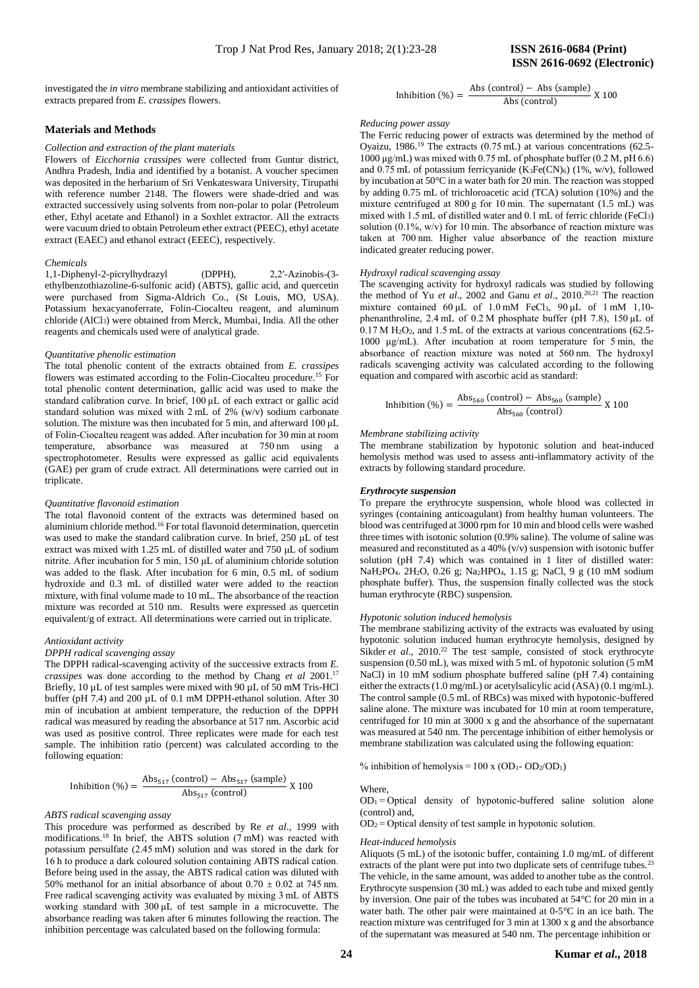investigated the *in vitro* membrane stabilizing and antioxidant activities of extracts prepared from *E. crassipes* flowers.

#### **Materials and Methods**

#### *Collection and extraction of the plant materials*

Flowers of *Eicchornia crassipes* were collected from Guntur district, Andhra Pradesh, India and identified by a botanist. A voucher specimen was deposited in the herbarium of Sri Venkateswara University, Tirupathi with reference number 2148. The flowers were shade-dried and was extracted successively using solvents from non-polar to polar (Petroleum ether, Ethyl acetate and Ethanol) in a Soxhlet extractor. All the extracts were vacuum dried to obtain Petroleum ether extract (PEEC), ethyl acetate extract (EAEC) and ethanol extract (EEEC), respectively.

#### *Chemicals*

1,1-Diphenyl-2-picrylhydrazyl (DPPH), 2,2′-Azinobis-(3 ethylbenzothiazoline-6-sulfonic acid) (ABTS), gallic acid, and quercetin were purchased from Sigma-Aldrich Co., (St Louis, MO, USA). Potassium hexacyanoferrate, Folin-Ciocalteu reagent, and aluminum chloride (AlCl3) were obtained from Merck, Mumbai, India. All the other reagents and chemicals used were of analytical grade.

#### *Quantitative phenolic estimation*

The total phenolic content of the extracts obtained from *E. crassipes* flowers was estimated according to the Folin-Ciocalteu procedure.<sup>15</sup> For total phenolic content determination, gallic acid was used to make the standard calibration curve. In brief, 100 μL of each extract or gallic acid standard solution was mixed with 2 mL of 2% (w/v) sodium carbonate solution. The mixture was then incubated for 5 min, and afterward 100 μL of Folin-Ciocalteu reagent was added. After incubation for 30 min at room temperature, absorbance was measured at 750 nm using a spectrophotometer. Results were expressed as gallic acid equivalents (GAE) per gram of crude extract. All determinations were carried out in triplicate.

#### *Quantitative flavonoid estimation*

The total flavonoid content of the extracts was determined based on aluminium chloride method.<sup>16</sup> For total flavonoid determination, quercetin was used to make the standard calibration curve. In brief, 250 μL of test extract was mixed with 1.25 mL of distilled water and 750 μL of sodium nitrite. After incubation for 5 min, 150 μL of aluminium chloride solution was added to the flask. After incubation for 6 min, 0.5 mL of sodium hydroxide and 0.3 mL of distilled water were added to the reaction mixture, with final volume made to 10 mL. The absorbance of the reaction mixture was recorded at 510 nm. Results were expressed as quercetin equivalent/g of extract. All determinations were carried out in triplicate.

#### *Antioxidant activity*

*DPPH radical scavenging assay*

The DPPH radical-scavenging activity of the successive extracts from *E. crassipes* was done according to the method by Chang *et al* 2001.<sup>17</sup> Briefly, 10 µL of test samples were mixed with 90 µL of 50 mM Tris-HCl buffer (pH 7.4) and 200 µL of 0.1 mM DPPH-ethanol solution. After 30 min of incubation at ambient temperature, the reduction of the DPPH radical was measured by reading the absorbance at 517 nm. Ascorbic acid was used as positive control. Three replicates were made for each test sample. The inhibition ratio (percent) was calculated according to the following equation:

Inhibition (%) = 
$$
\frac{\text{Abs}_{517} \text{(control)} - \text{Abs}_{517} \text{(sample)}}{\text{Abs}_{517} \text{(control)}} \times 100
$$

#### *ABTS radical scavenging assay*

This procedure was performed as described by Re *et al*., 1999 with modifications.<sup>18</sup> In brief, the ABTS solution (7 mM) was reacted with potassium persulfate (2.45 mM) solution and was stored in the dark for 16 h to produce a dark coloured solution containing ABTS radical cation. Before being used in the assay, the ABTS radical cation was diluted with 50% methanol for an initial absorbance of about  $0.70 \pm 0.02$  at 745 nm. Free radical scavenging activity was evaluated by mixing 3 mL of ABTS working standard with 300 μL of test sample in a microcuvette. The absorbance reading was taken after 6 minutes following the reaction. The inhibition percentage was calculated based on the following formula:

Inhibition (%) = 
$$
\frac{\text{Abs (control)} - \text{Abs (sample)}}{\text{Abs (control)}}
$$
 X 100

#### *Reducing power assay*

The Ferric reducing power of extracts was determined by the method of Oyaizu, 1986.<sup>19</sup> The extracts (0.75 mL) at various concentrations (62.5- 1000 μg/mL) was mixed with 0.75 mL of phosphate buffer (0.2 M, pH 6.6) and 0.75 mL of potassium ferricyanide (K3Fe(CN)6) (1%, w/v), followed by incubation at 50°C in a water bath for 20 min. The reaction was stopped by adding 0.75 mL of trichloroacetic acid (TCA) solution (10%) and the mixture centrifuged at 800 g for 10 min. The supernatant (1.5 mL) was mixed with 1.5 mL of distilled water and 0.1 mL of ferric chloride (FeCl3) solution (0.1%, w/v) for 10 min. The absorbance of reaction mixture was taken at 700 nm. Higher value absorbance of the reaction mixture indicated greater reducing power.

#### *Hydroxyl radical scavenging assay*

The scavenging activity for hydroxyl radicals was studied by following the method of Yu *et al*., 2002 and Ganu *et al*., 2010.20,21 The reaction mixture contained 60 μL of 1.0 mM FeCl3, 90 μL of 1 mM 1,10 phenanthroline, 2.4 mL of 0.2 M phosphate buffer (pH 7.8), 150 μL of  $0.17$  M H<sub>2</sub>O<sub>2</sub>, and 1.5 mL of the extracts at various concentrations (62.5-1000 μg/mL). After incubation at room temperature for 5 min, the absorbance of reaction mixture was noted at 560 nm. The hydroxyl radicals scavenging activity was calculated according to the following equation and compared with ascorbic acid as standard:

Inhibition (%) = 
$$
\frac{\text{Abs}_{560} \text{(control)} - \text{Abs}_{560} \text{(sample)}}{\text{Abs}_{560} \text{(control)}} \times 100
$$

#### *Membrane stabilizing activity*

The membrane stabilization by hypotonic solution and heat-induced hemolysis method was used to assess anti-inflammatory activity of the extracts by following standard procedure.

#### *Erythrocyte suspension*

To prepare the erythrocyte suspension, whole blood was collected in syringes (containing anticoagulant) from healthy human volunteers. The blood was centrifuged at 3000 rpm for 10 min and blood cells were washed three times with isotonic solution (0.9% saline). The volume of saline was measured and reconstituted as a 40% (v/v) suspension with isotonic buffer solution (pH 7.4) which was contained in 1 liter of distilled water: NaH2PO4. 2H2O, 0.26 g; Na2HPO4, 1.15 g; NaCl, 9 g (10 mM sodium phosphate buffer). Thus, the suspension finally collected was the stock human erythrocyte (RBC) suspension.

#### *Hypotonic solution induced hemolysis*

The membrane stabilizing activity of the extracts was evaluated by using hypotonic solution induced human erythrocyte hemolysis, designed by Sikder et al., 2010.<sup>22</sup> The test sample, consisted of stock erythrocyte suspension (0.50 mL), was mixed with 5 mL of hypotonic solution (5 mM NaCl) in 10 mM sodium phosphate buffered saline (pH 7.4) containing either the extracts (1.0 mg/mL) or acetylsalicylic acid (ASA) (0.1 mg/mL). The control sample (0.5 mL of RBCs) was mixed with hypotonic-buffered saline alone. The mixture was incubated for 10 min at room temperature, centrifuged for 10 min at 3000 x g and the absorbance of the supernatant was measured at 540 nm. The percentage inhibition of either hemolysis or membrane stabilization was calculated using the following equation:

% inhibition of hemolysis =  $100 \times (OD_1 - OD_2/OD_1)$ 

#### Where,

 $OD<sub>1</sub> = Optical$  density of hypotonic-buffered saline solution alone (control) and,

 $OD<sub>2</sub> = Optical density of test sample in hypotonic solution.$ 

#### *Heat-induced hemolysis*

Aliquots (5 mL) of the isotonic buffer, containing 1.0 mg/mL of different extracts of the plant were put into two duplicate sets of centrifuge tubes.<sup>23</sup> The vehicle, in the same amount, was added to another tube as the control. Erythrocyte suspension (30 mL) was added to each tube and mixed gently by inversion. One pair of the tubes was incubated at 54°C for 20 min in a water bath. The other pair were maintained at 0-5°C in an ice bath. The reaction mixture was centrifuged for 3 min at 1300 x g and the absorbance of the supernatant was measured at 540 nm. The percentage inhibition or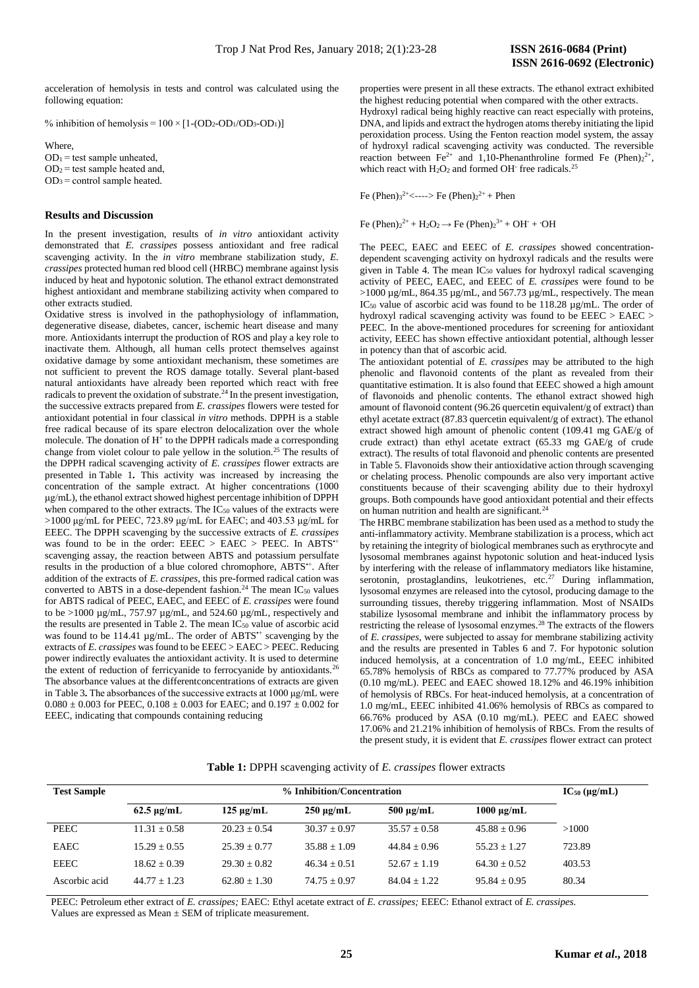acceleration of hemolysis in tests and control was calculated using the following equation:

% inhibition of hemolysis =  $100 \times [1-(OD_2-OD_1/OD_3-OD_1)]$ 

Where,  $OD<sub>1</sub>$  = test sample unheated,  $OD<sub>2</sub>$  = test sample heated and,  $OD<sub>3</sub> = control sample heated.$ 

### **Results and Discussion**

In the present investigation, results of *in vitro* antioxidant activity demonstrated that *E. crassipes* possess antioxidant and free radical scavenging activity. In the *in vitro* membrane stabilization study, *E. crassipes* protected human red blood cell (HRBC) membrane against lysis induced by heat and hypotonic solution. The ethanol extract demonstrated highest antioxidant and membrane stabilizing activity when compared to other extracts studied.

Oxidative stress is involved in the pathophysiology of inflammation, degenerative disease, diabetes, cancer, ischemic heart disease and many more. Antioxidants interrupt the production of ROS and play a key role to inactivate them. Although, all human cells protect themselves against oxidative damage by some antioxidant mechanism, these sometimes are not sufficient to prevent the ROS damage totally. Several plant-based natural antioxidants have already been reported which react with free radicals to prevent the oxidation of substrate.<sup>24</sup> In the present investigation, the successive extracts prepared from *E. crassipes* flowers were tested for antioxidant potential in four classical *in vitro* methods. DPPH is a stable free radical because of its spare electron delocalization over the whole molecule. The donation of H<sup>+</sup> to the DPPH radicals made a corresponding change from violet colour to pale yellow in the solution.<sup>25</sup> The results of the DPPH radical scavenging activity of *E. crassipes* flower extracts are presented in Table 1**.** This activity was increased by increasing the concentration of the sample extract. At higher concentrations (1000 μg/mL), the ethanol extract showed highest percentage inhibition of DPPH when compared to the other extracts. The IC<sub>50</sub> values of the extracts were >1000 μg/mL for PEEC, 723.89 μg/mL for EAEC; and 403.53 μg/mL for EEEC. The DPPH scavenging by the successive extracts of *E. crassipes* was found to be in the order:  $EEEC > EAEC > PEEC$ . In  $ABTS^+$ scavenging assay, the reaction between ABTS and potassium persulfate results in the production of a blue colored chromophore, ABTS<sup>++</sup>. After addition of the extracts of *E. crassipes,* this pre-formed radical cation was converted to ABTS in a dose-dependent fashion.<sup>24</sup> The mean  $IC_{50}$  values for ABTS radical of PEEC, EAEC, and EEEC of *E. crassipes* were found to be  $>1000 \mu$ g/mL, 757.97  $\mu$ g/mL, and 524.60  $\mu$ g/mL, respectively and the results are presented in Table 2. The mean  $IC_{50}$  value of ascorbic acid was found to be 114.41  $\mu$ g/mL. The order of ABTS<sup> $+$ </sup> scavenging by the extracts of *E. crassipes* was found to be EEEC > EAEC > PEEC. Reducing power indirectly evaluates the antioxidant activity. It is used to determine the extent of reduction of ferricyanide to ferrocyanide by antioxidants.<sup>26</sup> The absorbance values at the differentconcentrations of extracts are given in Table 3**.** The absorbances of the successive extracts at 1000 μg/mL were  $0.080 \pm 0.003$  for PEEC,  $0.108 \pm 0.003$  for EAEC; and  $0.197 \pm 0.002$  for EEEC, indicating that compounds containing reducing

properties were present in all these extracts. The ethanol extract exhibited the highest reducing potential when compared with the other extracts. Hydroxyl radical being highly reactive can react especially with proteins, DNA, and lipids and extract the hydrogen atoms thereby initiating the lipid peroxidation process. Using the Fenton reaction model system, the assay of hydroxyl radical scavenging activity was conducted. The reversible reaction between Fe<sup>2+</sup> and 1,10-Phenanthroline formed Fe (Phen) $2^{2+}$ , which react with  $H_2O_2$  and formed OH<sup>-</sup> free radicals.<sup>25</sup>

Fe (Phen)<sub>3</sub><sup>2+</sup><----> Fe (Phen)<sub>2</sub><sup>2+</sup> + Phen

Fe  $(Phen)_{2}^{2+} + H_{2}O_{2} \rightarrow Fe (Phen)_{2}^{3+} + OH^{-} + OH$ 

The PEEC, EAEC and EEEC of *E. crassipes* showed concentrationdependent scavenging activity on hydroxyl radicals and the results were given in Table 4. The mean  $IC_{50}$  values for hydroxyl radical scavenging activity of PEEC, EAEC, and EEEC of *E. crassipes* were found to be  $>1000 \mu$ g/mL, 864.35  $\mu$ g/mL, and 567.73  $\mu$ g/mL, respectively. The mean IC<sup>50</sup> value of ascorbic acid was found to be 118.28 µg/mL. The order of hydroxyl radical scavenging activity was found to be EEEC > EAEC > PEEC. In the above-mentioned procedures for screening for antioxidant activity, EEEC has shown effective antioxidant potential, although lesser in potency than that of ascorbic acid.

The antioxidant potential of *E. crassipes* may be attributed to the high phenolic and flavonoid contents of the plant as revealed from their quantitative estimation. It is also found that EEEC showed a high amount of flavonoids and phenolic contents. The ethanol extract showed high amount of flavonoid content (96.26 quercetin equivalent/g of extract) than ethyl acetate extract (87.83 quercetin equivalent/g of extract). The ethanol extract showed high amount of phenolic content (109.41 mg GAE/g of crude extract) than ethyl acetate extract (65.33 mg GAE/g of crude extract). The results of total flavonoid and phenolic contents are presented in Table 5. Flavonoids show their antioxidative action through scavenging or chelating process. Phenolic compounds are also very important active constituents because of their scavenging ability due to their hydroxyl groups. Both compounds have good antioxidant potential and their effects on human nutrition and health are significant. $24$ 

The HRBC membrane stabilization has been used as a method to study the anti-inflammatory activity. Membrane stabilization is a process, which act by retaining the integrity of biological membranes such as erythrocyte and lysosomal membranes against hypotonic solution and heat-induced lysis by interfering with the release of inflammatory mediators like histamine, serotonin, prostaglandins, leukotrienes, etc.<sup>27</sup> During inflammation, lysosomal enzymes are released into the cytosol, producing damage to the surrounding tissues, thereby triggering inflammation. Most of NSAIDs stabilize lysosomal membrane and inhibit the inflammatory process by restricting the release of lysosomal enzymes.<sup>28</sup> The extracts of the flowers of *E. crassipes*, were subjected to assay for membrane stabilizing activity and the results are presented in Tables 6 and 7. For hypotonic solution induced hemolysis, at a concentration of 1.0 mg/mL, EEEC inhibited 65.78% hemolysis of RBCs as compared to 77.77% produced by ASA (0.10 mg/mL). PEEC and EAEC showed 18.12% and 46.19% inhibition of hemolysis of RBCs. For heat-induced hemolysis, at a concentration of 1.0 mg/mL, EEEC inhibited 41.06% hemolysis of RBCs as compared to 66.76% produced by ASA (0.10 mg/mL). PEEC and EAEC showed 17.06% and 21.21% inhibition of hemolysis of RBCs. From the results of the present study, it is evident that *E. crassipes* flower extract can protect

|  | Table 1: DPPH scavenging activity of E. crassipes flower extracts |  |  |  |  |  |  |
|--|-------------------------------------------------------------------|--|--|--|--|--|--|
|--|-------------------------------------------------------------------|--|--|--|--|--|--|

| <b>Test Sample</b> |                      | $IC_{50}$ (µg/mL)   |                |                |                 |        |
|--------------------|----------------------|---------------------|----------------|----------------|-----------------|--------|
|                    | $62.5 \text{ µg/mL}$ | $125 \text{ µg/mL}$ | $250 \mu g/mL$ | $500 \mu g/mL$ | $1000 \mu g/mL$ |        |
| PEEC               | $11.31 + 0.58$       | $20.23 + 0.54$      | $30.37 + 0.97$ | $35.57 + 0.58$ | $45.88 + 0.96$  | >1000  |
| EAEC               | $15.29 + 0.55$       | $25.39 + 0.77$      | $35.88 + 1.09$ | $44.84 + 0.96$ | $55.23 + 1.27$  | 723.89 |
| EEEC               | $18.62 + 0.39$       | $29.30 + 0.82$      | $46.34 + 0.51$ | $52.67 + 1.19$ | $64.30 + 0.52$  | 403.53 |
| Ascorbic acid      | $44.77 + 1.23$       | $62.80 + 1.30$      | $74.75 + 0.97$ | $84.04 + 1.22$ | $95.84 + 0.95$  | 80.34  |

PEEC: Petroleum ether extract of *E. crassipes;* EAEC: Ethyl acetate extract of *E. crassipes;* EEEC: Ethanol extract of *E. crassipes.*  Values are expressed as Mean ± SEM of triplicate measurement.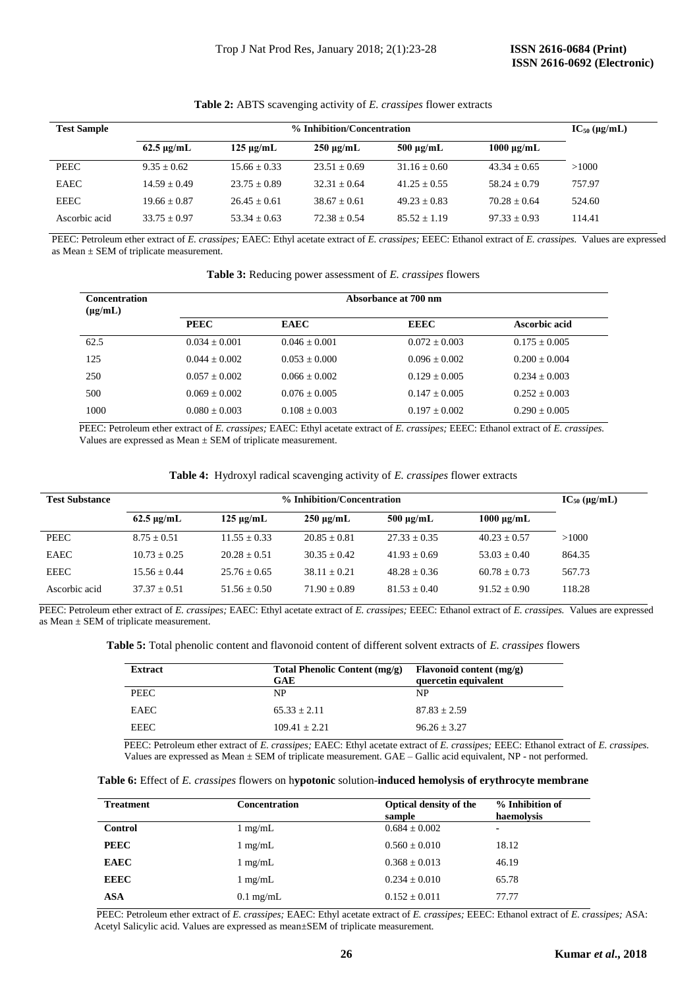| <b>Test Sample</b> | % Inhibition/Concentration |                |                |                |                 |        |  |  |
|--------------------|----------------------------|----------------|----------------|----------------|-----------------|--------|--|--|
|                    | $62.5 \mu g/mL$            | $125 \mu$ g/mL | $250 \mu g/mL$ | $500 \mu g/mL$ | $1000 \mu g/mL$ |        |  |  |
| PEEC               | $9.35 + 0.62$              | $15.66 + 0.33$ | $23.51 + 0.69$ | $31.16 + 0.60$ | $43.34 + 0.65$  | >1000  |  |  |
| <b>EAEC</b>        | $14.59 + 0.49$             | $23.75 + 0.89$ | $32.31 + 0.64$ | $41.25 + 0.55$ | $58.24 + 0.79$  | 757.97 |  |  |
| EEEC               | $19.66 + 0.87$             | $26.45 + 0.61$ | $38.67 + 0.61$ | $49.23 + 0.83$ | $70.28 + 0.64$  | 524.60 |  |  |
| Ascorbic acid      | $33.75 + 0.97$             | $53.34 + 0.63$ | $72.38 + 0.54$ | $85.52 + 1.19$ | $97.33 + 0.93$  | 114.41 |  |  |

## **Table 2:** ABTS scavenging activity of *E. crassipes* flower extracts

 PEEC: Petroleum ether extract of *E. crassipes;* EAEC: Ethyl acetate extract of *E. crassipes;* EEEC: Ethanol extract of *E. crassipes.* Values are expressed as Mean  $\pm$  SEM of triplicate measurement.

| Table 3: Reducing power assessment of E. crassipes flowers |  |
|------------------------------------------------------------|--|
|------------------------------------------------------------|--|

| <b>Concentration</b><br>$(\mu g/mL)$ | Absorbance at 700 nm |                 |                 |                 |  |  |
|--------------------------------------|----------------------|-----------------|-----------------|-----------------|--|--|
|                                      | <b>PEEC</b>          | <b>EAEC</b>     | <b>EEEC</b>     | Ascorbic acid   |  |  |
| 62.5                                 | $0.034 + 0.001$      | $0.046 + 0.001$ | $0.072 + 0.003$ | $0.175 + 0.005$ |  |  |
| 125                                  | $0.044 + 0.002$      | $0.053 + 0.000$ | $0.096 + 0.002$ | $0.200 + 0.004$ |  |  |
| 250                                  | $0.057 + 0.002$      | $0.066 + 0.002$ | $0.129 + 0.005$ | $0.234 + 0.003$ |  |  |
| 500                                  | $0.069 + 0.002$      | $0.076 + 0.005$ | $0.147 + 0.005$ | $0.252 + 0.003$ |  |  |
| 1000                                 | $0.080 + 0.003$      | $0.108 + 0.003$ | $0.197 + 0.002$ | $0.290 + 0.005$ |  |  |

 PEEC: Petroleum ether extract of *E. crassipes;* EAEC: Ethyl acetate extract of *E. crassipes;* EEEC: Ethanol extract of *E. crassipes.*  Values are expressed as  $Mean \pm SEM$  of triplicate measurement.

|  |  |  | Table 4: Hydroxyl radical scavenging activity of E. crassipes flower extracts |  |  |  |  |  |
|--|--|--|-------------------------------------------------------------------------------|--|--|--|--|--|
|--|--|--|-------------------------------------------------------------------------------|--|--|--|--|--|

| <b>Test Substance</b> |                      | $IC_{50}$ (µg/mL) |                     |                     |                 |        |
|-----------------------|----------------------|-------------------|---------------------|---------------------|-----------------|--------|
|                       | $62.5 \text{ µg/mL}$ | $125 \mu g/mL$    | $250 \text{ µg/mL}$ | $500 \text{ µg/mL}$ | $1000 \mu g/mL$ |        |
| <b>PEEC</b>           | $8.75 + 0.51$        | $11.55 + 0.33$    | $20.85 + 0.81$      | $27.33 + 0.35$      | $40.23 + 0.57$  | >1000  |
| EAEC                  | $10.73 + 0.25$       | $20.28 + 0.51$    | $30.35 + 0.42$      | $41.93 + 0.69$      | $53.03 + 0.40$  | 864.35 |
| EEEC                  | $15.56 + 0.44$       | $25.76 + 0.65$    | $38.11 + 0.21$      | $48.28 + 0.36$      | $60.78 + 0.73$  | 567.73 |
| Ascorbic acid         | $37.37 + 0.51$       | $51.56 + 0.50$    | $71.90 + 0.89$      | $81.53 + 0.40$      | $91.52 + 0.90$  | 118.28 |

 PEEC: Petroleum ether extract of *E. crassipes;* EAEC: Ethyl acetate extract of *E. crassipes;* EEEC: Ethanol extract of *E. crassipes.* Values are expressed as Mean  $\pm$  SEM of triplicate measurement.

**Table 5:** Total phenolic content and flavonoid content of different solvent extracts of *E. crassipes* flowers

| Extract     | <b>Total Phenolic Content (mg/g)</b><br>GAE | Flavonoid content $(mg/g)$<br>quercetin equivalent |
|-------------|---------------------------------------------|----------------------------------------------------|
| PEEC        | NP                                          | NP                                                 |
| EAEC        | $65.33 + 2.11$                              | $87.83 + 2.59$                                     |
| <b>EEEC</b> | $109.41 + 2.21$                             | $96.26 + 3.27$                                     |

 PEEC: Petroleum ether extract of *E. crassipes;* EAEC: Ethyl acetate extract of *E. crassipes;* EEEC: Ethanol extract of *E. crassipes.* Values are expressed as Mean ± SEM of triplicate measurement*.* GAE – Gallic acid equivalent, NP - not performed.

| <b>Treatment</b> | <b>Concentration</b> | <b>Optical density of the</b><br>sample | % Inhibition of<br>haemolysis |
|------------------|----------------------|-----------------------------------------|-------------------------------|
| <b>Control</b>   | $1 \text{ mg/mL}$    | $0.684 \pm 0.002$                       | ٠                             |
| <b>PEEC</b>      | $1 \text{ mg/mL}$    | $0.560 \pm 0.010$                       | 18.12                         |
| <b>EAEC</b>      | $1 \text{ mg/mL}$    | $0.368 \pm 0.013$                       | 46.19                         |
| <b>EEEC</b>      | $1 \text{ mg/mL}$    | $0.234 \pm 0.010$                       | 65.78                         |
| ASA              | $0.1 \text{ mg/mL}$  | $0.152 \pm 0.011$                       | 77.77                         |

 PEEC: Petroleum ether extract of *E. crassipes;* EAEC: Ethyl acetate extract of *E. crassipes;* EEEC: Ethanol extract of *E. crassipes;* ASA: Acetyl Salicylic acid. Values are expressed as mean±SEM of triplicate measurement*.*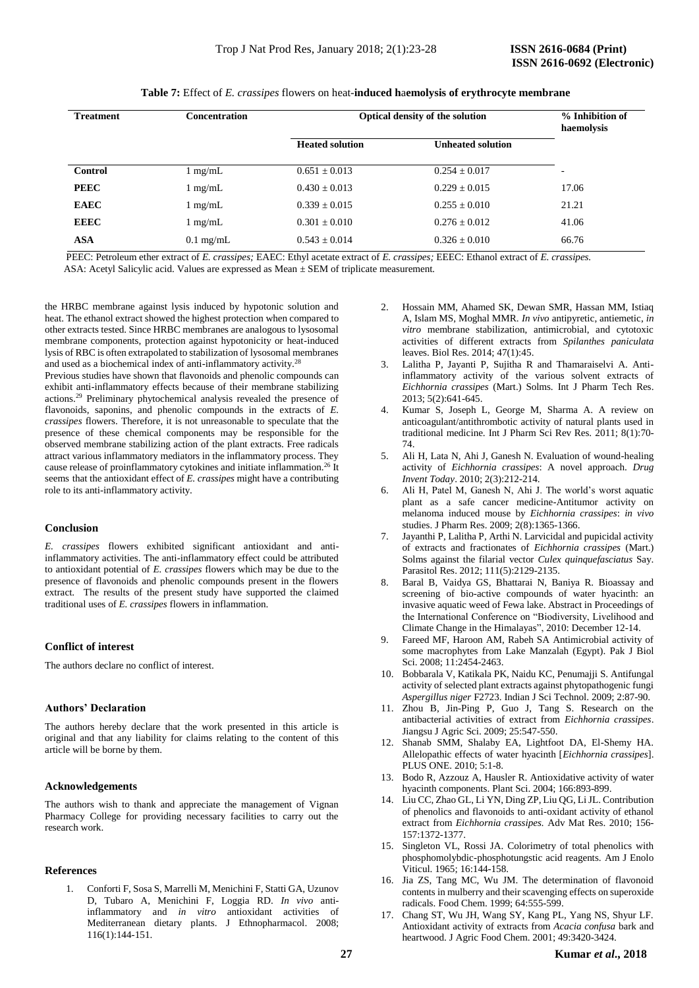| <b>Treatment</b> | <b>Concentration</b> | Optical density of the solution | % Inhibition of<br>haemolysis |                          |
|------------------|----------------------|---------------------------------|-------------------------------|--------------------------|
|                  |                      | <b>Heated solution</b>          | <b>Unheated solution</b>      |                          |
| <b>Control</b>   | $1 \text{ mg/mL}$    | $0.651 \pm 0.013$               | $0.254 + 0.017$               | $\overline{\phantom{0}}$ |
| <b>PEEC</b>      | $1 \text{ mg/mL}$    | $0.430 \pm 0.013$               | $0.229 \pm 0.015$             | 17.06                    |
| <b>EAEC</b>      | $1 \text{ mg/mL}$    | $0.339 + 0.015$                 | $0.255 + 0.010$               | 21.21                    |
| <b>EEEC</b>      | $1 \text{ mg/mL}$    | $0.301 + 0.010$                 | $0.276 + 0.012$               | 41.06                    |
| <b>ASA</b>       | $0.1 \text{ mg/mL}$  | $0.543 + 0.014$                 | $0.326 + 0.010$               | 66.76                    |

**Table 7:** Effect of *E. crassipes* flowers on heat-**induced h**a**emolysis of erythrocyte membrane**

 PEEC: Petroleum ether extract of *E. crassipes;* EAEC: Ethyl acetate extract of *E. crassipes;* EEEC: Ethanol extract of *E. crassipes.* ASA: Acetyl Salicylic acid. Values are expressed as Mean ± SEM of triplicate measurement*.*

the HRBC membrane against lysis induced by hypotonic solution and heat. The ethanol extract showed the highest protection when compared to other extracts tested. Since HRBC membranes are analogous to lysosomal membrane components, protection against hypotonicity or heat-induced lysis of RBC is often extrapolated to stabilization of lysosomal membranes and used as a biochemical index of anti-inflammatory activity.<sup>28</sup>

Previous studies have shown that flavonoids and phenolic compounds can exhibit anti-inflammatory effects because of their membrane stabilizing actions.<sup>29</sup> Preliminary phytochemical analysis revealed the presence of flavonoids, saponins, and phenolic compounds in the extracts of *E. crassipes* flowers. Therefore, it is not unreasonable to speculate that the presence of these chemical components may be responsible for the observed membrane stabilizing action of the plant extracts. Free radicals attract various inflammatory mediators in the inflammatory process. They cause release of proinflammatory cytokines and initiate inflammation.<sup>26</sup> It seems that the antioxidant effect of *E. crassipes* might have a contributing role to its anti-inflammatory activity.

#### **Conclusion**

*E. crassipes* flowers exhibited significant antioxidant and antiinflammatory activities. The anti-inflammatory effect could be attributed to antioxidant potential of *E. crassipes* flowers which may be due to the presence of flavonoids and phenolic compounds present in the flowers extract. The results of the present study have supported the claimed traditional uses of *E. crassipes* flowers in inflammation.

#### **Conflict of interest**

The authors declare no conflict of interest.

#### **Authors' Declaration**

The authors hereby declare that the work presented in this article is original and that any liability for claims relating to the content of this article will be borne by them.

#### **Acknowledgements**

The authors wish to thank and appreciate the management of Vignan Pharmacy College for providing necessary facilities to carry out the research work.

#### **References**

1. Conforti F, Sosa S, Marrelli M, Menichini F, Statti GA, Uzunov D, Tubaro A, Menichini F, Loggia RD. *In vivo* antiinflammatory and *in vitro* antioxidant activities of Mediterranean dietary plants. J Ethnopharmacol. 2008; 116(1):144-151.

- 2. Hossain MM, Ahamed SK, Dewan SMR, Hassan MM, Istiaq A, Islam MS, Moghal MMR. *In vivo* antipyretic, antiemetic, *in vitro* membrane stabilization, antimicrobial, and cytotoxic activities of different extracts from *Spilanthes paniculata* leaves. Biol Res. 2014; 47(1):45.
- 3. Lalitha P, Jayanti P, Sujitha R and Thamaraiselvi A. Antiinflammatory activity of the various solvent extracts of *Eichhornia crassipes* (Mart.) Solms. Int J Pharm Tech Res. 2013; 5(2):641-645.
- 4. Kumar S, Joseph L, George M, Sharma A. A review on anticoagulant/antithrombotic activity of natural plants used in traditional medicine. Int J Pharm Sci Rev Res. 2011; 8(1):70- 74.
- 5. Ali H, Lata N, Ahi J, Ganesh N. Evaluation of wound-healing activity of *Eichhornia crassipes*: A novel approach. *Drug Invent Today*. 2010; 2(3):212-214.
- 6. Ali H, Patel M, Ganesh N, Ahi J. The world's worst aquatic plant as a safe cancer medicine-Antitumor activity on melanoma induced mouse by *Eichhornia crassipes*: *in vivo* studies. J Pharm Res. 2009; 2(8):1365-1366.
- 7. Jayanthi P, Lalitha P, Arthi N. Larvicidal and pupicidal activity of extracts and fractionates of *Eichhornia crassipes* (Mart.) Solms against the filarial vector *Culex quinquefasciatus* Say. Parasitol Res. 2012; 111(5):2129-2135.
- 8. Baral B, Vaidya GS, Bhattarai N, Baniya R. Bioassay and screening of bio-active compounds of water hyacinth: an invasive aquatic weed of Fewa lake. Abstract in Proceedings of the International Conference on "Biodiversity, Livelihood and Climate Change in the Himalayas", 2010: December 12-14.
- 9. Fareed MF, Haroon AM, Rabeh SA Antimicrobial activity of some macrophytes from Lake Manzalah (Egypt). Pak J Biol Sci. 2008; 11:2454-2463.
- 10. Bobbarala V, Katikala PK, Naidu KC, Penumajji S. Antifungal activity of selected plant extracts against phytopathogenic fungi *Aspergillus niger* F2723. Indian J Sci Technol. 2009; 2:87-90.
- 11. Zhou B, Jin-Ping P, Guo J, Tang S. Research on the antibacterial activities of extract from *Eichhornia crassipes*. Jiangsu J Agric Sci. 2009; 25:547-550.
- 12. Shanab SMM, Shalaby EA, Lightfoot DA, El-Shemy HA. Allelopathic effects of water hyacinth [*Eichhornia crassipes*]. PLUS ONE. 2010; 5:1-8.
- 13. Bodo R, Azzouz A, Hausler R. Antioxidative activity of water hyacinth components. Plant Sci. 2004; 166:893-899.
- 14. Liu CC, Zhao GL, Li YN, Ding ZP, Liu QG, Li JL. Contribution of phenolics and flavonoids to anti-oxidant activity of ethanol extract from *Eichhornia crassipes.* Adv Mat Res. 2010; 156- 157:1372-1377.
- 15. Singleton VL, Rossi JA. Colorimetry of total phenolics with phosphomolybdic-phosphotungstic acid reagents. Am J Enolo Viticul. 1965; 16:144-158.
- 16. Jia ZS, Tang MC, Wu JM. The determination of flavonoid contents in mulberry and their scavenging effects on superoxide radicals. Food Chem. 1999; 64:555-599.
- 17. Chang ST, Wu JH, Wang SY, Kang PL, Yang NS, Shyur LF. Antioxidant activity of extracts from *Acacia confusa* bark and heartwood. J Agric Food Chem. 2001; 49:3420-3424.